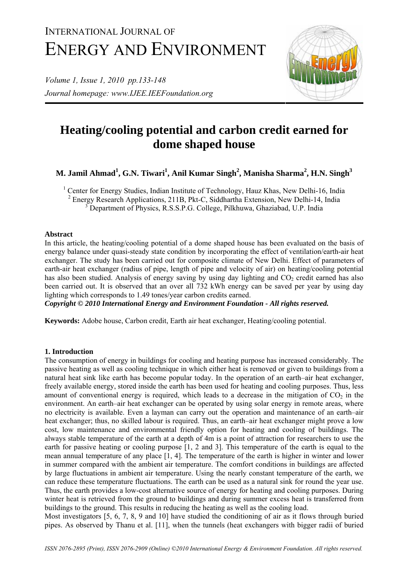# INTERNATIONAL JOURNAL OF ENERGY AND ENVIRONMENT

*Volume 1, Issue 1, 2010 pp.133-148 Journal homepage: www.IJEE.IEEFoundation.org* 



# **Heating/cooling potential and carbon credit earned for dome shaped house**

# **M. Jamil Ahmad1 , G.N. Tiwari<sup>1</sup> , Anil Kumar Singh2 , Manisha Sharma<sup>2</sup> , H.N. Singh3**

<sup>1</sup> Center for Energy Studies, Indian Institute of Technology, Hauz Khas, New Delhi-16, India <sup>2</sup> Energy Research Applications, 211B, Pkt-C, Siddhartha Extension, New Delhi-14, India <sup>37</sup> Department of Physics, R.S.S.P.G. College, Pilkhuwa, Ghaziabad, U.P. India

# **Abstract**

In this article, the heating/cooling potential of a dome shaped house has been evaluated on the basis of energy balance under quasi-steady state condition by incorporating the effect of ventilation/earth-air heat exchanger. The study has been carried out for composite climate of New Delhi. Effect of parameters of earth-air heat exchanger (radius of pipe, length of pipe and velocity of air) on heating/cooling potential has also been studied. Analysis of energy saving by using day lighting and  $CO<sub>2</sub>$  credit earned has also been carried out. It is observed that an over all 732 kWh energy can be saved per year by using day lighting which corresponds to 1.49 tones/year carbon credits earned.

*Copyright © 2010 International Energy and Environment Foundation - All rights reserved.*

**Keywords:** Adobe house, Carbon credit, Earth air heat exchanger, Heating/cooling potential.

# **1. Introduction**

The consumption of energy in buildings for cooling and heating purpose has increased considerably. The passive heating as well as cooling technique in which either heat is removed or given to buildings from a natural heat sink like earth has become popular today. In the operation of an earth–air heat exchanger, freely available energy, stored inside the earth has been used for heating and cooling purposes. Thus, less amount of conventional energy is required, which leads to a decrease in the mitigation of  $CO<sub>2</sub>$  in the environment. An earth–air heat exchanger can be operated by using solar energy in remote areas, where no electricity is available. Even a layman can carry out the operation and maintenance of an earth–air heat exchanger; thus, no skilled labour is required. Thus, an earth–air heat exchanger might prove a low cost, low maintenance and environmental friendly option for heating and cooling of buildings. The always stable temperature of the earth at a depth of 4m is a point of attraction for researchers to use the earth for passive heating or cooling purpose  $[1, 2, 2]$  and 3. This temperature of the earth is equal to the mean annual temperature of any place [1, 4]. The temperature of the earth is higher in winter and lower in summer compared with the ambient air temperature. The comfort conditions in buildings are affected by large fluctuations in ambient air temperature. Using the nearly constant temperature of the earth, we can reduce these temperature fluctuations. The earth can be used as a natural sink for round the year use. Thus, the earth provides a low-cost alternative source of energy for heating and cooling purposes. During winter heat is retrieved from the ground to buildings and during summer excess heat is transferred from buildings to the ground. This results in reducing the heating as well as the cooling load.

Most investigators [5, 6, 7, 8, 9 and 10] have studied the conditioning of air as it flows through buried pipes. As observed by Thanu et al. [11], when the tunnels (heat exchangers with bigger radii of buried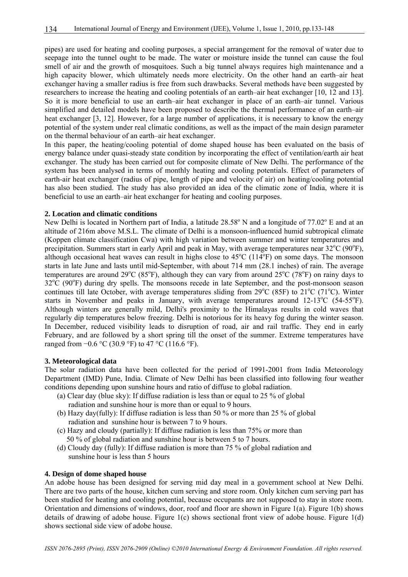pipes) are used for heating and cooling purposes, a special arrangement for the removal of water due to seepage into the tunnel ought to be made. The water or moisture inside the tunnel can cause the foul smell of air and the growth of mosquitoes. Such a big tunnel always requires high maintenance and a high capacity blower, which ultimately needs more electricity. On the other hand an earth–air heat exchanger having a smaller radius is free from such drawbacks. Several methods have been suggested by researchers to increase the heating and cooling potentials of an earth–air heat exchanger [10, 12 and 13]. So it is more beneficial to use an earth–air heat exchanger in place of an earth–air tunnel. Various simplified and detailed models have been proposed to describe the thermal performance of an earth–air heat exchanger [3, 12]. However, for a large number of applications, it is necessary to know the energy potential of the system under real climatic conditions, as well as the impact of the main design parameter on the thermal behaviour of an earth–air heat exchanger.

In this paper, the heating/cooling potential of dome shaped house has been evaluated on the basis of energy balance under quasi-steady state condition by incorporating the effect of ventilation/earth air heat exchanger. The study has been carried out for composite climate of New Delhi. The performance of the system has been analysed in terms of monthly heating and cooling potentials. Effect of parameters of earth-air heat exchanger (radius of pipe, length of pipe and velocity of air) on heating/cooling potential has also been studied. The study has also provided an idea of the climatic zone of India, where it is beneficial to use an earth–air heat exchanger for heating and cooling purposes.

## **2. Location and climatic conditions**

New Delhi is located in Northern part of India, a latitude 28.58° N and a longitude of 77.02° E and at an altitude of 216m above M.S.L. The climate of Delhi is a monsoon-influenced humid subtropical climate (Koppen climate classification Cwa) with high variation between summer and winter temperatures and precipitation. Summers start in early April and peak in May, with average temperatures near  $32^{\circ}C$  (90 $^{\circ}F$ ), although occasional heat waves can result in highs close to  $45^{\circ}$ C (114 $^{\circ}$ F) on some days. The monsoon starts in late June and lasts until mid-September, with about 714 mm (28.1 inches) of rain. The average temperatures are around 29 $^{\circ}$ C (85 $^{\circ}$ F), although they can vary from around 25 $^{\circ}$ C (78 $^{\circ}$ F) on rainy days to  $32^{\circ}$ C (90 $^{\circ}$ F) during dry spells. The monsoons recede in late September, and the post-monsoon season continues till late October, with average temperatures sliding from  $29^{\circ}C$  (85F) to  $21^{\circ}C$  (71<sup>o</sup>C). Winter starts in November and peaks in January, with average temperatures around  $12-13^{\circ}$ C (54-55 $^{\circ}$ F). Although winters are generally mild, Delhi's proximity to the Himalayas results in cold waves that regularly dip temperatures below freezing. Delhi is notorious for its heavy fog during the winter season. In December, reduced visibility leads to disruption of road, air and rail traffic. They end in early February, and are followed by a short spring till the onset of the summer. Extreme temperatures have ranged from  $-0.6$  °C (30.9 °F) to 47 °C (116.6 °F).

### **3. Meteorological data**

The solar radiation data have been collected for the period of 1991-2001 from India Meteorology Department (IMD) Pune, India. Climate of New Delhi has been classified into following four weather conditions depending upon sunshine hours and ratio of diffuse to global radiation.

- (a) Clear day (blue sky): If diffuse radiation is less than or equal to 25 % of global radiation and sunshine hour is more than or equal to 9 hours.
- (b) Hazy day(fully): If diffuse radiation is less than 50 % or more than 25 % of global radiation and sunshine hour is between 7 to 9 hours.
- (c) Hazy and cloudy (partially): If diffuse radiation is less than 75% or more than 50 % of global radiation and sunshine hour is between 5 to 7 hours.
- (d) Cloudy day (fully): If diffuse radiation is more than 75 % of global radiation and sunshine hour is less than 5 hours

## **4. Design of dome shaped house**

An adobe house has been designed for serving mid day meal in a government school at New Delhi. There are two parts of the house, kitchen cum serving and store room. Only kitchen cum serving part has been studied for heating and cooling potential, because occupants are not supposed to stay in store room. Orientation and dimensions of windows, door, roof and floor are shown in Figure 1(a). Figure 1(b) shows details of drawing of adobe house. Figure 1(c) shows sectional front view of adobe house. Figure 1(d) shows sectional side view of adobe house.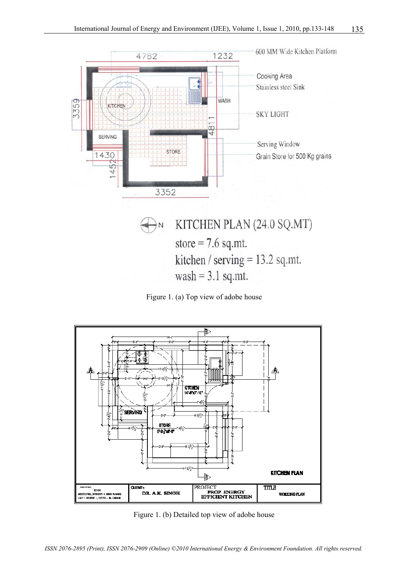

store =  $7.6$  sq.mt. kitchen / serving =  $13.2$  sq.mt. wash =  $3.1$  sq.mt.

Figure 1. (a) Top view of adobe house



Figure 1. (b) Detailed top view of adobe house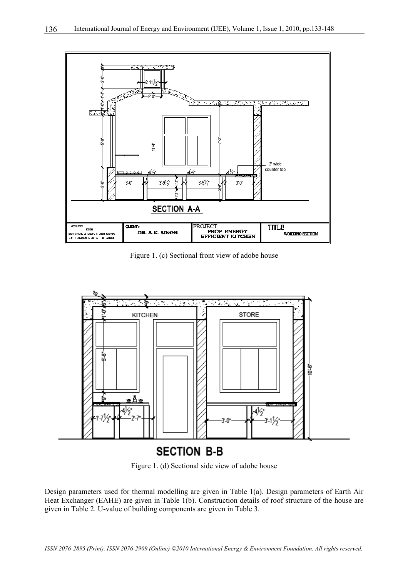

Figure 1. (c) Sectional front view of adobe house

![](_page_3_Figure_3.jpeg)

# **SECTION B-B**

Figure 1. (d) Sectional side view of adobe house

Design parameters used for thermal modelling are given in Table 1(a). Design parameters of Earth Air Heat Exchanger (EAHE) are given in Table 1(b). Construction details of roof structure of the house are given in Table 2. U-value of building components are given in Table 3.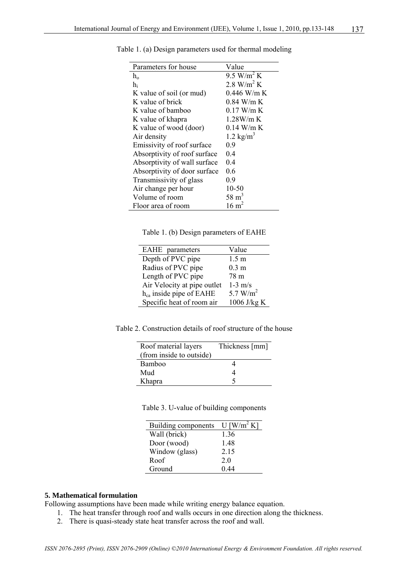| Parameters for house         | Value                  |
|------------------------------|------------------------|
| $h_{o}$                      | 9.5 W/m <sup>2</sup> K |
| $h_i$                        | 2.8 W/m <sup>2</sup> K |
| K value of soil (or mud)     | $0.446$ W/m K          |
| K value of brick             | $0.84$ W/m K           |
| K value of bamboo            | $0.17$ W/m K           |
| K value of khapra            | 1.28W/mK               |
| K value of wood (door)       | $0.14$ W/m K           |
| Air density                  | 1.2 $\text{kg/m}^3$    |
| Emissivity of roof surface   | 0.9                    |
| Absorptivity of roof surface | 0.4                    |
| Absorptivity of wall surface | 0.4                    |
| Absorptivity of door surface | 0.6                    |
| Transmissivity of glass      | 0.9                    |
| Air change per hour          | 10-50                  |
| Volume of room               | $58 \text{ m}^3$       |
| Floor area of room           | $16 \text{ m}^2$       |

Table 1. (a) Design parameters used for thermal modeling

Table 1. (b) Design parameters of EAHE

| EAHE parameters                     | Value            |
|-------------------------------------|------------------|
| Depth of PVC pipe                   | 1.5 <sub>m</sub> |
| Radius of PVC pipe                  | $0.3 \text{ m}$  |
| Length of PVC pipe                  | 78 m             |
| Air Velocity at pipe outlet         | $1-3$ m/s        |
| h <sub>ca</sub> inside pipe of EAHE | 5.7 $W/m^2$      |
| Specific heat of room air           | 1006 J/kg K      |
|                                     |                  |

Table 2. Construction details of roof structure of the house

| Roof material layers<br>(from inside to outside) | Thickness [mm] |
|--------------------------------------------------|----------------|
| Bamboo                                           |                |
| Mud                                              |                |
| Khapra                                           |                |

|  |  |  | Table 3. U-value of building components |
|--|--|--|-----------------------------------------|
|--|--|--|-----------------------------------------|

| Building components | U $\left[W/m^2 K\right]$ |
|---------------------|--------------------------|
| Wall (brick)        | 1 36                     |
| Door (wood)         | 1.48                     |
| Window (glass)      | 2.15                     |
| Roof                | 2 O                      |
| Ground              | 0.44                     |

# **5. Mathematical formulation**

Following assumptions have been made while writing energy balance equation.

- 1. The heat transfer through roof and walls occurs in one direction along the thickness.
- 2. There is quasi-steady state heat transfer across the roof and wall.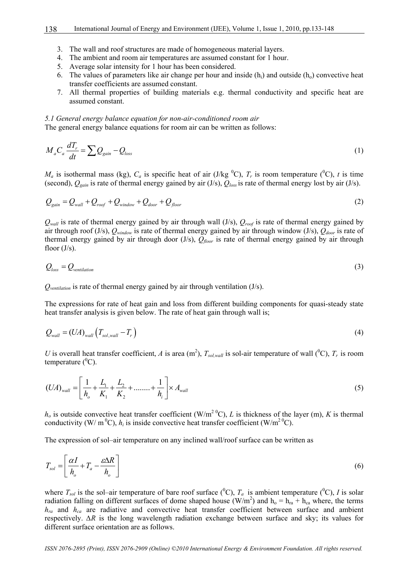- 3. The wall and roof structures are made of homogeneous material layers.
- 4. The ambient and room air temperatures are assumed constant for 1 hour.
- 5. Average solar intensity for 1 hour has been considered.
- 6. The values of parameters like air change per hour and inside  $(h_i)$  and outside  $(h_o)$  convective heat transfer coefficients are assumed constant.
- 7. All thermal properties of building materials e.g. thermal conductivity and specific heat are assumed constant.

#### *5.1 General energy balance equation for non-air-conditioned room air*

The general energy balance equations for room air can be written as follows:

$$
M_a C_a \frac{dT_r}{dt} = \sum Q_{\text{gain}} - Q_{\text{loss}} \tag{1}
$$

 $M_a$  is isothermal mass (kg),  $C_a$  is specific heat of air (J/kg  ${}^0C$ ),  $T_r$  is room temperature ( ${}^0C$ ), t is time (second), *Qgain* is rate of thermal energy gained by air (J/s), *Qloss* is rate of thermal energy lost by air (J/s).

$$
Q_{gain} = Q_{wall} + Q_{roof} + Q_{window} + Q_{door} + Q_{floor}
$$
 (2)

 $Q_{wall}$  is rate of thermal energy gained by air through wall (J/s),  $Q_{roof}$  is rate of thermal energy gained by air through roof (J/s),  $Q_{window}$  is rate of thermal energy gained by air through window (J/s),  $Q_{door}$  is rate of thermal energy gained by air through door (J/s), *Qfloor* is rate of thermal energy gained by air through floor  $(J/s)$ .

$$
Q_{loss} = Q_{\text{ventilation}} \tag{3}
$$

*Q<sub>ventilation</sub>* is rate of thermal energy gained by air through ventilation (J/s).

The expressions for rate of heat gain and loss from different building components for quasi-steady state heat transfer analysis is given below. The rate of heat gain through wall is;

$$
Q_{wall} = (UA)_{wall} \left( T_{sol, wall} - T_r \right) \tag{4}
$$

*U* is overall heat transfer coefficient, *A* is area (m<sup>2</sup>),  $T_{sol,wall}$  is sol-air temperature of wall (<sup>0</sup>C),  $T_r$  is room temperature  $(^0C)$ .

$$
(UA)_{wall} = \left[\frac{1}{h_o} + \frac{L_1}{K_1} + \frac{L_2}{K_2} + \dots + \frac{1}{h_i}\right] \times A_{wall}
$$
\n(5)

 $h<sub>o</sub>$  is outside convective heat transfer coefficient (W/m<sup>2 0</sup>C), *L* is thickness of the layer (m), *K* is thermal conductivity (W/ m<sup>o</sup>C),  $h_i$  is inside convective heat transfer coefficient (W/m<sup>2o</sup>C).

The expression of sol–air temperature on any inclined wall/roof surface can be written as

$$
T_{sol} = \left[ \frac{\alpha I}{h_o} + T_a - \frac{\varepsilon \Delta R}{h_o} \right] \tag{6}
$$

where  $T_{sol}$  is the sol–air temperature of bare roof surface (<sup>0</sup>C),  $T_a$  is ambient temperature (<sup>0</sup>C), *I* is solar radiation falling on different surfaces of dome shaped house  $(W/m^2)$  and  $h_0 = h_{ra} + h_{ca}$  where, the terms *hra* and *hca* are radiative and convective heat transfer coefficient between surface and ambient respectively. *∆R* is the long wavelength radiation exchange between surface and sky; its values for different surface orientation are as follows.

*ISSN 2076-2895 (Print), ISSN 2076-2909 (Online) ©2010 International Energy & Environment Foundation. All rights reserved.*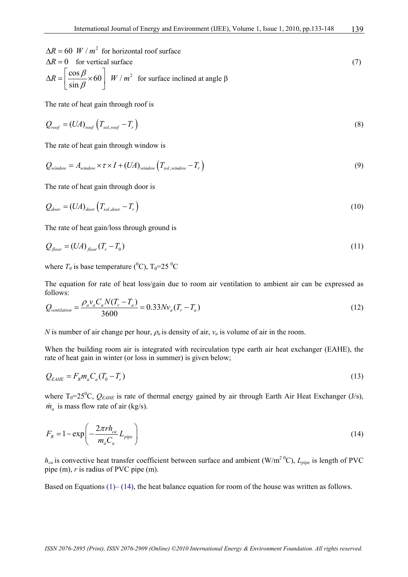$$
\Delta R = 0 \quad \text{for vertical surface}
$$
\n
$$
\Delta R = \left[\frac{\cos \beta}{\sin \beta} \times 60\right] W / m^2 \quad \text{for surface inclined at angle } \beta
$$
\n(7)

The rate of heat gain through roof is

$$
Q_{\text{roof}} = (UA)_{\text{roof}} \left( T_{\text{sol},\text{roof}} - T_r \right) \tag{8}
$$

The rate of heat gain through window is

$$
Q_{window} = A_{window} \times \tau \times I + (UA)_{window} \left( T_{sol, window} - T_r \right)
$$
\n(9)

The rate of heat gain through door is

$$
Q_{door} = (UA)_{door} \left( T_{sol,door} - T_r \right) \tag{10}
$$

The rate of heat gain/loss through ground is

$$
Q_{\text{floor}} = (UA)_{\text{floor}} (T_r - T_0) \tag{11}
$$

where  $T_0$  is base temperature (<sup>0</sup>C),  $T_0$ =25 <sup>0</sup>C

The equation for rate of heat loss/gain due to room air ventilation to ambient air can be expressed as follows:

$$
Q_{\text{venilation}} = \frac{\rho_a v_a C_a N (T_r - T_a)}{3600} = 0.33 N v_a (T_r - T_a)
$$
\n(12)

*N* is number of air change per hour,  $\rho_a$  is density of air,  $v_a$  is volume of air in the room.

When the building room air is integrated with recirculation type earth air heat exchanger (EAHE), the rate of heat gain in winter (or loss in summer) is given below;

$$
Q_{EAHE} = F_R m_a C_a (T_0 - T_r) \tag{13}
$$

where  $T_0 = 25^\circ$ C,  $Q_{EAHE}$  is rate of thermal energy gained by air through Earth Air Heat Exchanger (J/s),  $\dot{m}_a$  is mass flow rate of air (kg/s).

$$
F_R = 1 - \exp\left(-\frac{2\pi r h_{ca}}{m_a C_a} L_{pipe}\right)
$$
 (14)

 $h_{ca}$  is convective heat transfer coefficient between surface and ambient (W/m<sup>2 0</sup>C),  $L_{pipe}$  is length of PVC pipe (m), *r* is radius of PVC pipe (m).

Based on Equations  $(1)$ –  $(14)$ , the heat balance equation for room of the house was written as follows.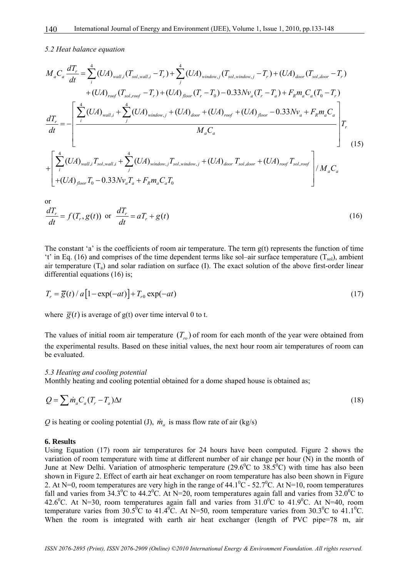### *5.2 Heat balance equation*

$$
M_{a}C_{a} \frac{dT_{r}}{dt} = \sum_{i}^{4} (UA)_{wall,i} (T_{sol,wall,i} - T_{r}) + \sum_{j}^{4} (UA)_{window,j} (T_{sol,window,j} - T_{r}) + (UA)_{door} (T_{sol,door} - T_{r})
$$
  
+  $(UA)_{roof} (T_{sol,roof} - T_{r}) + (UA)_{floor} (T_{r} - T_{0}) - 0.33 Nv_{a} (T_{r} - T_{a}) + F_{R}m_{a}C_{a} (T_{0} - T_{r})$   

$$
\frac{dT_{r}}{dt} = -\left[\sum_{i}^{4} (UA)_{wall,i} + \sum_{j}^{4} (UA)_{window,j} + (UA)_{door} + (UA)_{roof} + (UA)_{floor} - 0.33 Nv_{a} + F_{R}m_{a}C_{a} \right]T_{r}
$$
  

$$
M_{a}C_{a}
$$
  
+
$$
\left[\sum_{i}^{4} (UA)_{wall,i} T_{sol,wall,i} + \sum_{j}^{4} (UA)_{window,j} T_{sol,window,j} + (UA)_{door} T_{sol,door} + (UA)_{roof} T_{sol,roof} \right] / M_{a}C_{a}
$$
  
+
$$
(15)
$$

or  
\n
$$
\frac{dT_r}{dt} = f(T_r, g(t)) \text{ or } \frac{dT_r}{dt} = aT_r + g(t)
$$
\n(16)

The constant 'a' is the coefficients of room air temperature. The term  $g(t)$  represents the function of time 't' in Eq. (16) and comprises of the time dependent terms like sol–air surface temperature  $(T<sub>sol</sub>)$ , ambient air temperature  $(T_a)$  and solar radiation on surface (I). The exact solution of the above first-order linear differential equations (16) is;

$$
T_r = \overline{g}(t) / a \left[1 - \exp(-at)\right] + T_{r0} \exp(-at)
$$
\n(17)

where  $\overline{g}(t)$  is average of g(t) over time interval 0 to t.

The values of initial room air temperature  $(T_{r_0})$  of room for each month of the year were obtained from the experimental results. Based on these initial values, the next hour room air temperatures of room can be evaluated.

#### *5.3 Heating and cooling potential*

Monthly heating and cooling potential obtained for a dome shaped house is obtained as;

$$
Q = \sum m_a C_a (T_r - T_a) \Delta t \tag{18}
$$

*Q* is heating or cooling potential (J),  $\dot{m}_a$  is mass flow rate of air (kg/s)

### **6. Results**

Using Equation (17) room air temperatures for 24 hours have been computed. Figure 2 shows the variation of room temperature with time at different number of air change per hour (N) in the month of June at New Delhi. Variation of atmospheric temperature (29.6<sup>o</sup>C to 38.5<sup>o</sup>C) with time has also been shown in Figure 2. Effect of earth air heat exchanger on room temperature has also been shown in Figure 2. At N=0, room temperatures are very high in the range of  $44.1\degree \text{C}$  - 52.7 $\degree$ C. At N=10, room temperatures fall and varies from  $34.3^{\circ}$ C to  $44.2^{\circ}$ C. At N=20, room temperatures again fall and varies from  $32.0^{\circ}$ C to 42.6<sup>0</sup>C. At N=30, room temperatures again fall and varies from  $31.0^{\circ}$ C to 41.9<sup>0</sup>C. At N=40, room temperature varies from  $30.5^{\circ}$ C to  $41.4^{\circ}$ C. At N=50, room temperature varies from  $30.3^{\circ}$ C to  $41.1^{\circ}$ C. When the room is integrated with earth air heat exchanger (length of PVC pipe=78 m, air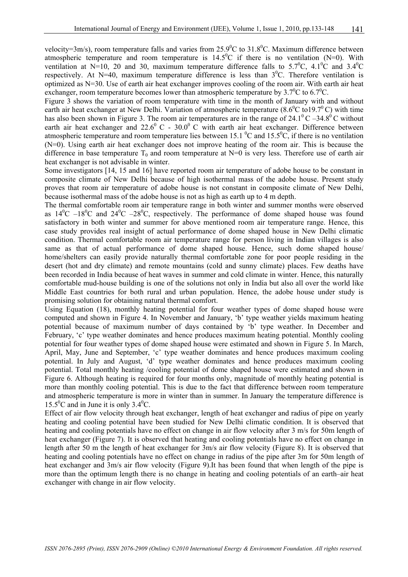velocity=3m/s), room temperature falls and varies from  $25.9^{\circ}$ C to  $31.8^{\circ}$ C. Maximum difference between atmospheric temperature and room temperature is  $14.5^{\circ}$ C if there is no ventilation (N=0). With ventilation at N=10, 20 and 30, maximum temperature difference falls to  $5.7^{\circ}$ C,  $4.1^{\circ}$ C and  $3.4^{\circ}$ C respectively. At N=40, maximum temperature difference is less than  $3^{\circ}$ C. Therefore ventilation is optimized as N=30. Use of earth air heat exchanger improves cooling of the room air. With earth air heat exchanger, room temperature becomes lower than atmospheric temperature by  $3.7^{\circ}$ C to  $6.7^{\circ}$ C.

Figure 3 shows the variation of room temperature with time in the month of January with and without earth air heat exchanger at New Delhi. Variation of atmospheric temperature  $(8.6^{\circ}C \text{ to } 19.7^{\circ} C)$  with time has also been shown in Figure 3. The room air temperatures are in the range of  $24.1^{\circ}$ C –34.8<sup>0</sup>C without earth air heat exchanger and  $22.6^{\circ}$  C -  $30.0^{\circ}$  C with earth air heat exchanger. Difference between atmospheric temperature and room temperature lies between 15.1  $\rm{^0C}$  and 15.5 $\rm{^0C}$ , if there is no ventilation (N=0). Using earth air heat exchanger does not improve heating of the room air. This is because the difference in base temperature  $T_0$  and room temperature at N=0 is very less. Therefore use of earth air heat exchanger is not advisable in winter.

Some investigators [14, 15 and 16] have reported room air temperature of adobe house to be constant in composite climate of New Delhi because of high isothermal mass of the adobe house. Present study proves that room air temperature of adobe house is not constant in composite climate of New Delhi, because isothermal mass of the adobe house is not as high as earth up to 4 m depth.

The thermal comfortable room air temperature range in both winter and summer months were observed as  $14^{\circ}$ C  $-18^{\circ}$ C and  $24^{\circ}$ C  $-28^{\circ}$ C, respectively. The performance of dome shaped house was found satisfactory in both winter and summer for above mentioned room air temperature range. Hence, this case study provides real insight of actual performance of dome shaped house in New Delhi climatic condition. Thermal comfortable room air temperature range for person living in Indian villages is also same as that of actual performance of dome shaped house. Hence, such dome shaped house/ home/shelters can easily provide naturally thermal comfortable zone for poor people residing in the desert (hot and dry climate) and remote mountains (cold and sunny climate) places. Few deaths have been recorded in India because of heat waves in summer and cold climate in winter. Hence, this naturally comfortable mud-house building is one of the solutions not only in India but also all over the world like Middle East countries for both rural and urban population. Hence, the adobe house under study is promising solution for obtaining natural thermal comfort.

Using Equation (18), monthly heating potential for four weather types of dome shaped house were computed and shown in Figure 4. In November and January, 'b' type weather yields maximum heating potential because of maximum number of days contained by 'b' type weather. In December and February, 'c' type weather dominates and hence produces maximum heating potential. Monthly cooling potential for four weather types of dome shaped house were estimated and shown in Figure 5. In March, April, May, June and September, 'c' type weather dominates and hence produces maximum cooling potential. In July and August, 'd' type weather dominates and hence produces maximum cooling potential. Total monthly heating /cooling potential of dome shaped house were estimated and shown in Figure 6. Although heating is required for four months only, magnitude of monthly heating potential is more than monthly cooling potential. This is due to the fact that difference between room temperature and atmospheric temperature is more in winter than in summer. In January the temperature difference is  $15.5^{\circ}$ C and in June it is only 3.4 $^{\circ}$ C.

Effect of air flow velocity through heat exchanger, length of heat exchanger and radius of pipe on yearly heating and cooling potential have been studied for New Delhi climatic condition. It is observed that heating and cooling potentials have no effect on change in air flow velocity after 3 m/s for 50m length of heat exchanger (Figure 7). It is observed that heating and cooling potentials have no effect on change in length after 50 m the length of heat exchanger for 3m/s air flow velocity (Figure 8). It is observed that heating and cooling potentials have no effect on change in radius of the pipe after 3m for 50m length of heat exchanger and 3m/s air flow velocity (Figure 9).It has been found that when length of the pipe is more than the optimum length there is no change in heating and cooling potentials of an earth–air heat exchanger with change in air flow velocity.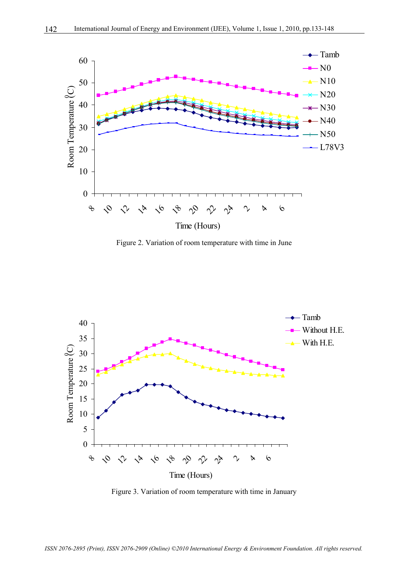![](_page_9_Figure_1.jpeg)

Figure 2. Variation of room temperature with time in June

![](_page_9_Figure_3.jpeg)

Figure 3. Variation of room temperature with time in January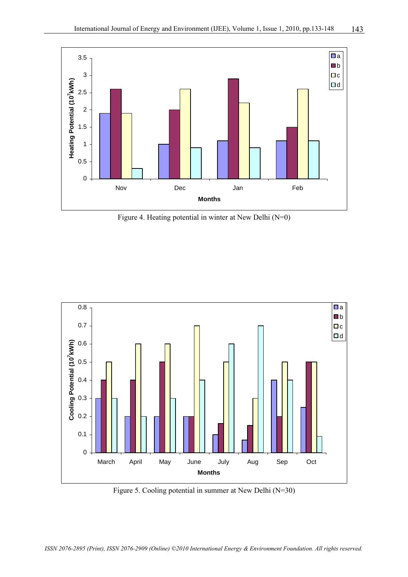![](_page_10_Figure_1.jpeg)

Figure 4. Heating potential in winter at New Delhi (N=0)

![](_page_10_Figure_3.jpeg)

Figure 5. Cooling potential in summer at New Delhi (N=30)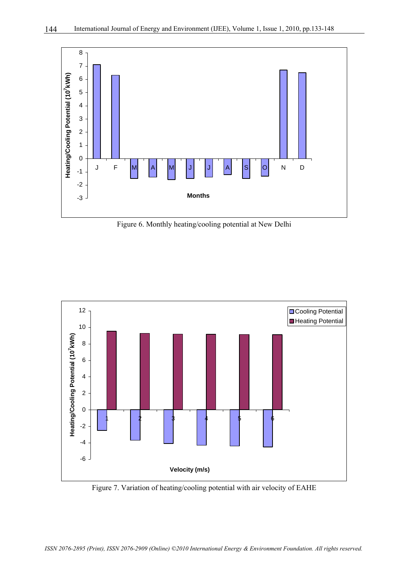![](_page_11_Figure_1.jpeg)

Figure 6. Monthly heating/cooling potential at New Delhi

![](_page_11_Figure_3.jpeg)

Figure 7. Variation of heating/cooling potential with air velocity of EAHE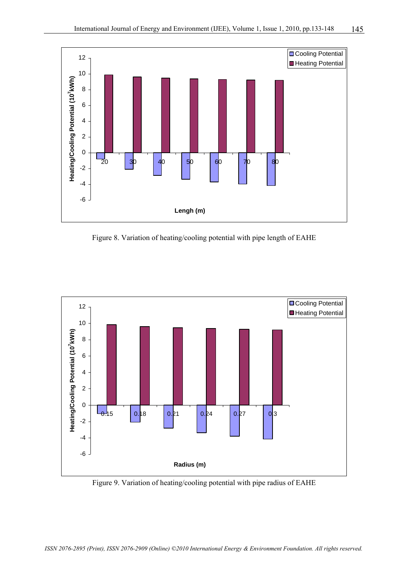![](_page_12_Figure_1.jpeg)

Figure 8. Variation of heating/cooling potential with pipe length of EAHE

![](_page_12_Figure_3.jpeg)

Figure 9. Variation of heating/cooling potential with pipe radius of EAHE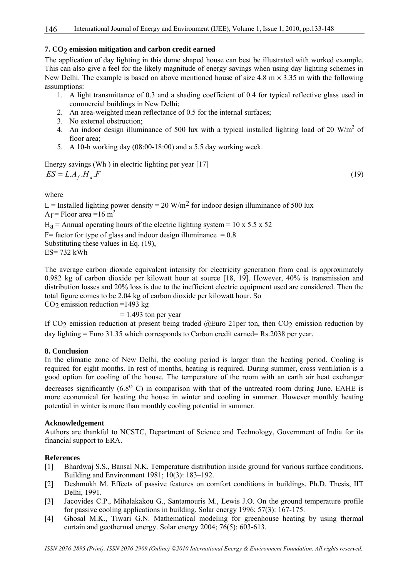# **7. CO2 emission mitigation and carbon credit earned**

The application of day lighting in this dome shaped house can best be illustrated with worked example. This can also give a feel for the likely magnitude of energy savings when using day lighting schemes in New Delhi. The example is based on above mentioned house of size 4.8 m  $\times$  3.35 m with the following assumptions:

- 1. A light transmittance of 0.3 and a shading coefficient of 0.4 for typical reflective glass used in commercial buildings in New Delhi;
- 2. An area-weighted mean reflectance of 0.5 for the internal surfaces;
- 3. No external obstruction;
- 4. An indoor design illuminance of 500 lux with a typical installed lighting load of 20 W/m<sup>2</sup> of floor area;
- 5. A 10-h working day (08:00-18:00) and a 5.5 day working week.

Energy savings (Wh ) in electric lighting per year [17]  $ES = L.A$ <sub>*f*</sub>.*H<sub>a</sub>*.*F* (19)

## where

L = Installed lighting power density = 20 W/m<sup>2</sup> for indoor design illuminance of 500 lux  $A_f$  = Floor area =16 m<sup>2</sup>

 $H_a$  = Annual operating hours of the electric lighting system = 10 x 5.5 x 52

 $F=$  factor for type of glass and indoor design illuminance = 0.8

Substituting these values in Eq. (19),

 $ES = 732$  kWh

The average carbon dioxide equivalent intensity for electricity generation from coal is approximately 0.982 kg of carbon dioxide per kilowatt hour at source [18, 19]. However, 40% is transmission and distribution losses and 20% loss is due to the inefficient electric equipment used are considered. Then the total figure comes to be 2.04 kg of carbon dioxide per kilowatt hour. So

CO<sub>2</sub> emission reduction =1493 kg

 $= 1.493$  ton per year

If  $CO<sub>2</sub>$  emission reduction at present being traded @Euro 21per ton, then  $CO<sub>2</sub>$  emission reduction by day lighting = Euro 31.35 which corresponds to Carbon credit earned= Rs.2038 per year.

# **8. Conclusion**

In the climatic zone of New Delhi, the cooling period is larger than the heating period. Cooling is required for eight months. In rest of months, heating is required. During summer, cross ventilation is a good option for cooling of the house. The temperature of the room with an earth air heat exchanger decreases significantly  $(6.8^{\circ} \text{ C})$  in comparison with that of the untreated room during June. EAHE is more economical for heating the house in winter and cooling in summer. However monthly heating potential in winter is more than monthly cooling potential in summer.

# **Acknowledgement**

Authors are thankful to NCSTC, Department of Science and Technology, Government of India for its financial support to ERA.

# **References**

- [1] Bhardwaj S.S., Bansal N.K. Temperature distribution inside ground for various surface conditions. Building and Environment 1981; 10(3): 183–192.
- [2] Deshmukh M. Effects of passive features on comfort conditions in buildings. Ph.D. Thesis, IIT Delhi, 1991.
- [3] Jacovides C.P., Mihalakakou G., Santamouris M., Lewis J.O. On the ground temperature profile for passive cooling applications in building. Solar energy 1996; 57(3): 167-175.
- [4] Ghosal M.K., Tiwari G.N. Mathematical modeling for greenhouse heating by using thermal curtain and geothermal energy. Solar energy 2004; 76(5): 603-613.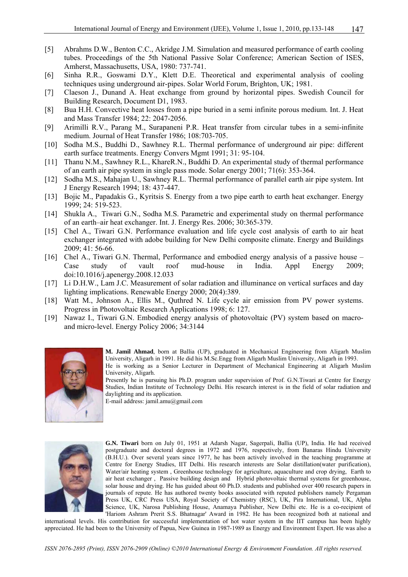- [5] Abrahms D.W., Benton C.C., Akridge J.M. Simulation and measured performance of earth cooling tubes. Proceedings of the 5th National Passive Solar Conference; American Section of ISES, Amherst, Massachusetts, USA, 1980: 737-741.
- [6] Sinha R.R., Goswami D.Y., Klett D.E. Theoretical and experimental analysis of cooling techniques using underground air-pipes. Solar World Forum, Brighton, UK; 1981.
- [7] Claeson J., Dunand A. Heat exchange from ground by horizontal pipes. Swedish Council for Building Research, Document D1, 1983.
- [8] Bua H.H. Convective heat losses from a pipe buried in a semi infinite porous medium. Int. J. Heat and Mass Transfer 1984; 22: 2047-2056.
- [9] Arimilli R.V., Parang M., Surapaneni P.R. Heat transfer from circular tubes in a semi-infinite medium. Journal of Heat Transfer 1986; 108:703-705.
- [10] Sodha M.S., Buddhi D., Sawhney R.L. Thermal performance of underground air pipe: different earth surface treatments. Energy Convers Mgmt 1991; 31: 95-104.
- [11] Thanu N.M., Sawhney R.L., KhareR.N., Buddhi D. An experimental study of thermal performance of an earth air pipe system in single pass mode. Solar energy 2001; 71(6): 353-364.
- [12] Sodha M.S., Mahajan U., Sawhney R.L. Thermal performance of parallel earth air pipe system. Int J Energy Research 1994; 18: 437-447.
- [13] Bojic M., Papadakis G., Kyritsis S. Energy from a two pipe earth to earth heat exchanger. Energy 1999; 24: 519-523.
- [14] Shukla A., Tiwari G.N., Sodha M.S. Parametric and experimental study on thermal performance of an earth–air heat exchanger. Int. J. Energy Res. 2006; 30:365-379.
- [15] Chel A., Tiwari G.N. Performance evaluation and life cycle cost analysis of earth to air heat exchanger integrated with adobe building for New Delhi composite climate. Energy and Buildings 2009; 41: 56-66.
- [16] Chel A., Tiwari G.N. Thermal, Performance and embodied energy analysis of a passive house Case study of vault roof mud-house in India. Appl Energy 2009; doi:10.1016/j.apenergy.2008.12.033
- [17] Li D.H.W., Lam J.C. Measurement of solar radiation and illuminance on vertical surfaces and day lighting implications. Renewable Energy 2000; 20(4):389.
- [18] Watt M., Johnson A., Ellis M., Quthred N. Life cycle air emission from PV power systems. Progress in Photovoltaic Research Applications 1998; 6: 127.
- [19] Nawaz I., Tiwari G.N. Embodied energy analysis of photovoltaic (PV) system based on macroand micro-level. Energy Policy 2006; 34:3144

![](_page_14_Picture_16.jpeg)

**M. Jamil Ahmad**, born at Ballia (UP), graduated in Mechanical Engineering from Aligarh Muslim University, Aligarh in 1991. He did his M.Sc.Engg from Aligarh Muslim University, Aligarh in 1993. He is working as a Senior Lecturer in Department of Mechanical Engineering at Aligarh Muslim University, Aligarh.

Presently he is pursuing his Ph.D. program under supervision of Prof. G.N.Tiwari at Centre for Energy Studies, Indian Institute of Technology Delhi. His research interest is in the field of solar radiation and daylighting and its application.

E-mail address: jamil.amu@gmail.com

![](_page_14_Picture_20.jpeg)

**G.N. Tiwari** born on July 01, 1951 at Adarsh Nagar, Sagerpali, Ballia (UP), India. He had received postgraduate and doctoral degrees in 1972 and 1976, respectively, from Banaras Hindu University (B.H.U.). Over several years since 1977, he has been actively involved in the teaching programme at Centre for Energy Studies, IIT Delhi. His research interests are Solar distillation(water purification), Water/air heating system , Greenhouse technology for agriculture, aquaculture and crop drying, Earth to air heat exchanger , Passive building design and Hybrid photovoltaic thermal systems for greenhouse, solar house and drying. He has guided about 60 Ph.D. students and published over 400 research papers in journals of repute. He has authored twenty books associated with reputed publishers namely Pergaman Press UK, CRC Press USA, Royal Society of Chemistry (RSC), UK, Pira International, UK, Alpha Science, UK, Narosa Publishing House, Anamaya Publisher, New Delhi etc. He is a co-recipient of 'Hariom Ashram Prerit S.S. Bhatnagar' Award in 1982. He has been recognized both at national and

international levels. His contribution for successful implementation of hot water system in the IIT campus has been highly appreciated. He had been to the University of Papua, New Guinea in 1987-1989 as Energy and Environment Expert. He was also a